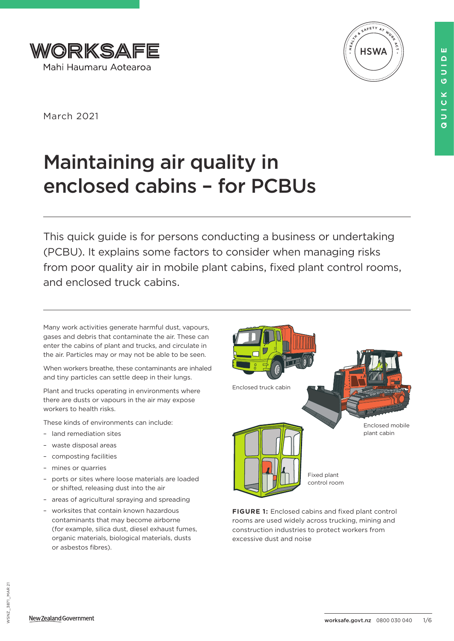



March 2021

# Maintaining air quality in enclosed cabins – for PCBUs

This quick guide is for persons conducting a business or undertaking (PCBU). It explains some factors to consider when managing risks from poor quality air in mobile plant cabins, fixed plant control rooms, and enclosed truck cabins.

Many work activities generate harmful dust, vapours, gases and debris that contaminate the air. These can enter the cabins of plant and trucks, and circulate in the air. Particles may or may not be able to be seen.

When workers breathe, these contaminants are inhaled and tiny particles can settle deep in their lungs.

Plant and trucks operating in environments where there are dusts or vapours in the air may expose workers to health risks.

These kinds of environments can include:

- land remediation sites
- waste disposal areas
- composting facilities
- mines or quarries
- ports or sites where loose materials are loaded or shifted, releasing dust into the air
- areas of agricultural spraying and spreading
- worksites that contain known hazardous contaminants that may become airborne (for example, silica dust, diesel exhaust fumes, organic materials, biological materials, dusts or asbestos fibres).



**FIGURE 1:** Enclosed cabins and fixed plant control rooms are used widely across trucking, mining and construction industries to protect workers from excessive dust and noise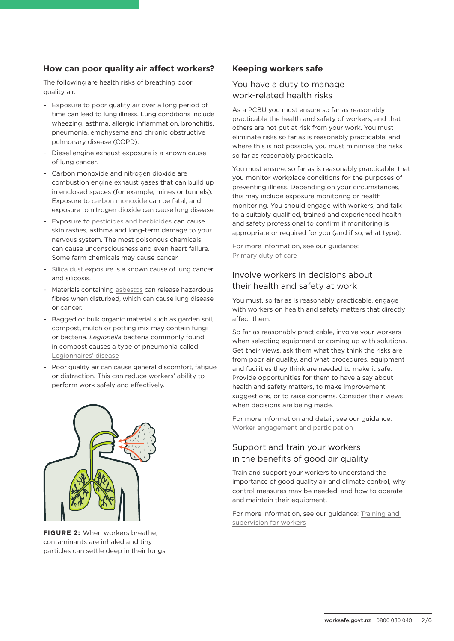## **How can poor quality air affect workers?**

The following are health risks of breathing poor quality air.

- Exposure to poor quality air over a long period of time can lead to lung illness. Lung conditions include wheezing, asthma, allergic inflammation, bronchitis, pneumonia, emphysema and chronic obstructive pulmonary disease (COPD).
- Diesel engine exhaust exposure is a known cause of lung cancer.
- Carbon monoxide and nitrogen dioxide are combustion engine exhaust gases that can build up in enclosed spaces (for example, mines or tunnels). Exposure to [carbon monoxide](https://worksafe.govt.nz/assets/dmsassets/zero/917WKS-6-clean-air-carbon-monoxide-invisible-and-deadly.pdf) can be fatal, and exposure to nitrogen dioxide can cause lung disease.
- Exposure to [pesticides and herbicides](https://www.worksafe.govt.nz/topic-and-industry/agriculture/chemicals-and-fuels-on-farms/working-safely-with-chemicals-and-fuels-on-farms/) can cause skin rashes, asthma and long-term damage to your nervous system. The most poisonous chemicals can cause unconsciousness and even heart failure. Some farm chemicals may cause cancer.
- [Silica dust](https://worksafe.govt.nz/topic-and-industry/dust/silica-dust-in-the-workplace) exposure is a known cause of lung cancer and silicosis.
- Materials containing [asbestos](https://worksafe.govt.nz/topic-and-industry/asbestos/working-with-asbestos/what-you-should-know-about-working-with-asbestos/) can release hazardous fibres when disturbed, which can cause lung disease or cancer.
- Bagged or bulk organic material such as garden soil, compost, mulch or potting mix may contain fungi or bacteria. *Legionella* bacteria commonly found in compost causes a type of pneumonia called [Legionnaires' disease](https://worksafe.govt.nz/topic-and-industry/legionnaires-disease/legionnaires-disease-and-legionellosis)
- Poor quality air can cause general discomfort, fatigue or distraction. This can reduce workers' ability to perform work safely and effectively.



**FIGURE 2:** When workers breathe, contaminants are inhaled and tiny particles can settle deep in their lungs

## **Keeping workers safe**

## You have a duty to manage work-related health risks

As a PCBU you must ensure so far as reasonably practicable the health and safety of workers, and that others are not put at risk from your work. You must eliminate risks so far as is reasonably practicable, and where this is not possible, you must minimise the risks so far as reasonably practicable.

You must ensure, so far as is reasonably practicable, that you monitor workplace conditions for the purposes of preventing illness. Depending on your circumstances, this may include exposure monitoring or health monitoring. You should engage with workers, and talk to a suitably qualified, trained and experienced health and safety professional to confirm if monitoring is appropriate or required for you (and if so, what type).

For more information, see our guidance: [Primary duty of care](https://worksafe.govt.nz/managing-health-and-safety/getting-started/understanding-the-law/primary-duty-of-care/what-is-the-primary-duty-of-care/)

## Involve workers in decisions about their health and safety at work

You must, so far as is reasonably practicable, engage with workers on health and safety matters that directly affect them.

So far as reasonably practicable, involve your workers when selecting equipment or coming up with solutions. Get their views, ask them what they think the risks are from poor air quality, and what procedures, equipment and facilities they think are needed to make it safe. Provide opportunities for them to have a say about health and safety matters, to make improvement suggestions, or to raise concerns. Consider their views when decisions are being made.

For more information and detail, see our guidance: [Worker engagement and participation](https://worksafe.govt.nz/managing-health-and-safety/businesses/worker-engagement-and-participation/)

# Support and train your workers in the benefits of good air quality

Train and support your workers to understand the importance of good quality air and climate control, why control measures may be needed, and how to operate and maintain their equipment.

For more information, see our guidance: [Training and](https://worksafe.govt.nz/managing-health-and-safety/businesses/general-requirements-for-workplaces/providing-information-training-instruction-or-supervision-for-workers/)  [supervision for workers](https://worksafe.govt.nz/managing-health-and-safety/businesses/general-requirements-for-workplaces/providing-information-training-instruction-or-supervision-for-workers/)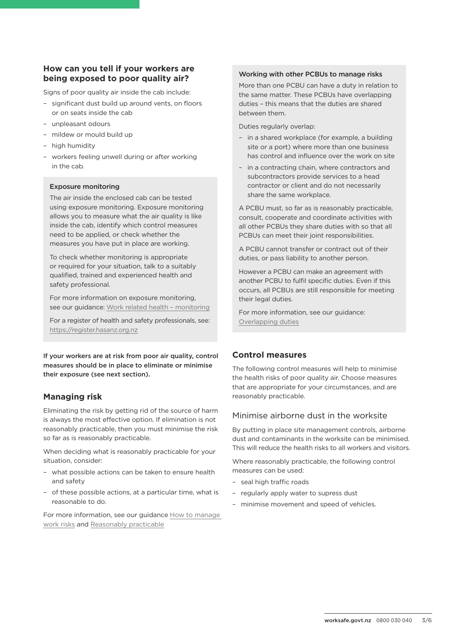## **How can you tell if your workers are being exposed to poor quality air?**

Signs of poor quality air inside the cab include:

- significant dust build up around vents, on floors or on seats inside the cab
- unpleasant odours
- mildew or mould build up
- high humidity
- workers feeling unwell during or after working in the cab.

#### Exposure monitoring

The air inside the enclosed cab can be tested using exposure monitoring. Exposure monitoring allows you to measure what the air quality is like inside the cab, identify which control measures need to be applied, or check whether the measures you have put in place are working.

To check whether monitoring is appropriate or required for your situation, talk to a suitably qualified, trained and experienced health and safety professional.

For more information on exposure monitoring, see our guidance: [Work related health – monitoring](https://www.worksafe.govt.nz/topic-and-industry/work-related-health/monitoring)

For a register of health and safety professionals, see: <https://register.hasanz.org.nz>

If your workers are at risk from poor air quality, control measures should be in place to eliminate or minimise their exposure (see next section).

# **Managing risk**

Eliminating the risk by getting rid of the source of harm is always the most effective option. If elimination is not reasonably practicable, then you must minimise the risk so far as is reasonably practicable.

When deciding what is reasonably practicable for your situation, consider:

- what possible actions can be taken to ensure health and safety
- of these possible actions, at a particular time, what is reasonable to do.

For more information, see our guidance [How to manage](https://worksafe.govt.nz/managing-health-and-safety/managing-risks/how-to-manage-work-risks)  [work risks](https://worksafe.govt.nz/managing-health-and-safety/managing-risks/how-to-manage-work-risks) and [Reasonably practicable](https://worksafe.govt.nz/dmsdocument/848-reasonably-practicable)

#### Working with other PCBUs to manage risks

More than one PCBU can have a duty in relation to the same matter. These PCBUs have overlapping duties – this means that the duties are shared between them.

Duties regularly overlap:

- in a shared workplace (for example, a building site or a port) where more than one business has control and influence over the work on site
- in a contracting chain, where contractors and subcontractors provide services to a head contractor or client and do not necessarily share the same workplace.

A PCBU must, so far as is reasonably practicable, consult, cooperate and coordinate activities with all other PCBUs they share duties with so that all PCBUs can meet their joint responsibilities.

A PCBU cannot transfer or contract out of their duties, or pass liability to another person.

However a PCBU can make an agreement with another PCBU to fulfil specific duties. Even if this occurs, all PCBUs are still responsible for meeting their legal duties.

For more information, see our guidance: [Overlapping duties](https://worksafe.govt.nz/dmsdocument/851-overlapping-duties)

## **Control measures**

The following control measures will help to minimise the health risks of poor quality air. Choose measures that are appropriate for your circumstances, and are reasonably practicable.

## Minimise airborne dust in the worksite

By putting in place site management controls, airborne dust and contaminants in the worksite can be minimised. This will reduce the health risks to all workers and visitors.

Where reasonably practicable, the following control measures can be used:

- seal high traffic roads
- regularly apply water to supress dust
- minimise movement and speed of vehicles.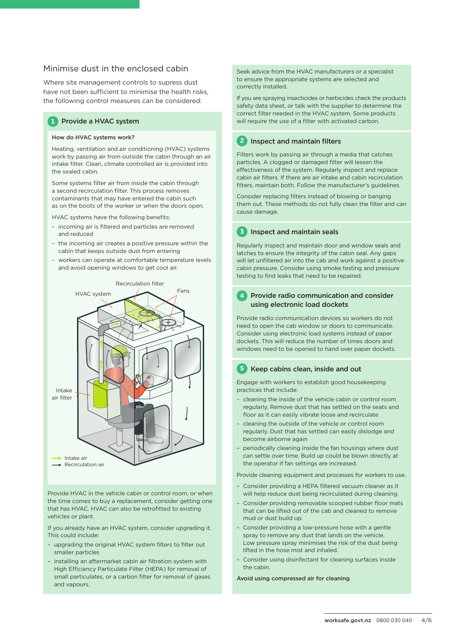## Minimise dust in the enclosed cabin

Where site management controls to supress dust have not been sufficient to minimise the health risks, the following control measures can be considered:

#### **1** Provide a HVAC system

#### How do HVAC systems work?

Heating, ventilation and air conditioning (HVAC) systems work by passing air from outside the cabin through an air intake filter. Clean, climate controlled air is provided into the sealed cabin.

Some systems filter air from inside the cabin through a second recirculation filter. This process removes contaminants that may have entered the cabin such as on the boots of the worker or when the doors open.

HVAC systems have the following benefits:

- incoming air is filtered and particles are removed and reduced
- the incoming air creates a positive pressure within the cabin that keeps outside dust from entering
- workers can operate at comfortable temperature levels and avoid opening windows to get cool air.



Provide HVAC in the vehicle cabin or control room, or when the time comes to buy a replacement, consider getting one that has HVAC. HVAC can also be retrofitted to existing vehicles or plant.

If you already have an HVAC system, consider upgrading it. This could include:

- upgrading the original HVAC system filters to filter out smaller particles
- installing an aftermarket cabin air filtration system with High Efficiency Particulate Filter (HEPA) for removal of small particulates, or a carbon filter for removal of gases and vapours.

Seek advice from the HVAC manufacturers or a specialist to ensure the appropriate systems are selected and correctly installed.

If you are spraying insecticides or herbicides check the products safety data sheet, or talk with the supplier to determine the correct filter needed in the HVAC system. Some products will require the use of a filter with activated carbon.

#### **2** Inspect and maintain filters

Filters work by passing air through a media that catches particles. A clogged or damaged filter will lessen the effectiveness of the system. Regularly inspect and replace cabin air filters. If there are air intake and cabin recirculation filters, maintain both. Follow the manufacturer's guidelines.

Consider replacing filters instead of blowing or banging them out. These methods do not fully clean the filter and can cause damage.

**3** Inspect and maintain seals

Regularly inspect and maintain door and window seals and latches to ensure the integrity of the cabin seal. Any gaps will let unfiltered air into the cab and work against a positive cabin pressure. Consider using smoke testing and pressure testing to find leaks that need to be repaired.

#### **4** Provide radio communication and consider using electronic load dockets

Provide radio communication devices so workers do not need to open the cab window or doors to communicate. Consider using electronic load systems instead of paper dockets. This will reduce the number of times doors and windows need to be opened to hand over paper dockets.

#### **5** Keep cabins clean, inside and out

Engage with workers to establish good housekeeping practices that include:

- cleaning the inside of the vehicle cabin or control room regularly. Remove dust that has settled on the seats and floor as it can easily vibrate loose and recirculate
- cleaning the outside of the vehicle or control room regularly. Dust that has settled can easily dislodge and become airborne again
- periodically cleaning inside the fan housings where dust can settle over time. Build up could be blown directly at the operator if fan settings are increased.

Provide cleaning equipment and processes for workers to use.

- Consider providing a HEPA filtered vacuum cleaner as it will help reduce dust being recirculated during cleaning.
- Consider providing removable scooped rubber floor mats that can be lifted out of the cab and cleaned to remove mud or dust build up.
- Consider providing a low-pressure hose with a gentle spray to remove any dust that lands on the vehicle. Low pressure spray minimises the risk of the dust being lifted in the hose mist and inhaled.
- Consider using disinfectant for cleaning surfaces inside the cabin.

Avoid using compressed air for cleaning.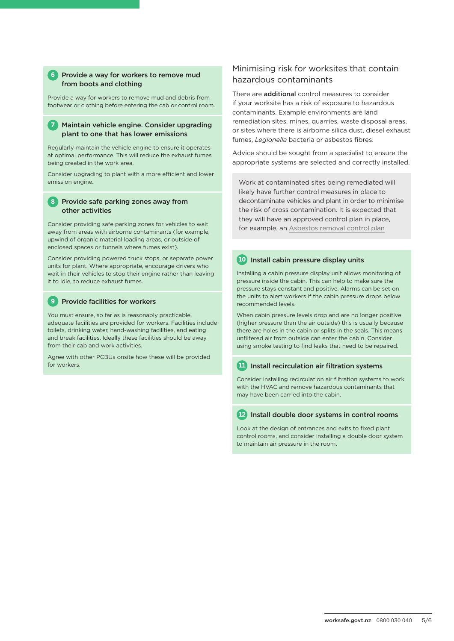#### **6** Provide a way for workers to remove mud from boots and clothing

Provide a way for workers to remove mud and debris from footwear or clothing before entering the cab or control room.

#### **7** Maintain vehicle engine. Consider upgrading plant to one that has lower emissions

Regularly maintain the vehicle engine to ensure it operates at optimal performance. This will reduce the exhaust fumes being created in the work area.

Consider upgrading to plant with a more efficient and lower emission engine.

#### **8** Provide safe parking zones away from other activities

Consider providing safe parking zones for vehicles to wait away from areas with airborne contaminants (for example, upwind of organic material loading areas, or outside of enclosed spaces or tunnels where fumes exist).

Consider providing powered truck stops, or separate power units for plant. Where appropriate, encourage drivers who wait in their vehicles to stop their engine rather than leaving it to idle, to reduce exhaust fumes.

## **9** Provide facilities for workers

You must ensure, so far as is reasonably practicable, adequate facilities are provided for workers. Facilities include toilets, drinking water, hand-washing facilities, and eating and break facilities. Ideally these facilities should be away from their cab and work activities.

Agree with other PCBUs onsite how these will be provided for workers.

## Minimising risk for worksites that contain hazardous contaminants

There are **additional** control measures to consider if your worksite has a risk of exposure to hazardous contaminants. Example environments are land remediation sites, mines, quarries, waste disposal areas, or sites where there is airborne silica dust, diesel exhaust fumes, *Legionella* bacteria or asbestos fibres.

Advice should be sought from a specialist to ensure the appropriate systems are selected and correctly installed.

Work at contaminated sites being remediated will likely have further control measures in place to decontaminate vehicles and plant in order to minimise the risk of cross contamination. It is expected that they will have an approved control plan in place, for example, an [Asbestos removal control plan](http://www.worksafe.govt.nz/topic-and-industry/asbestos/asbestos-management-plans/)

#### **10** Install cabin pressure display units

Installing a cabin pressure display unit allows monitoring of pressure inside the cabin. This can help to make sure the pressure stays constant and positive. Alarms can be set on the units to alert workers if the cabin pressure drops below recommended levels.

When cabin pressure levels drop and are no longer positive (higher pressure than the air outside) this is usually because there are holes in the cabin or splits in the seals. This means unfiltered air from outside can enter the cabin. Consider using smoke testing to find leaks that need to be repaired.

## **11** Install recirculation air filtration systems

Consider installing recirculation air filtration systems to work with the HVAC and remove hazardous contaminants that may have been carried into the cabin.

#### **12** Install double door systems in control rooms

Look at the design of entrances and exits to fixed plant control rooms, and consider installing a double door system to maintain air pressure in the room.